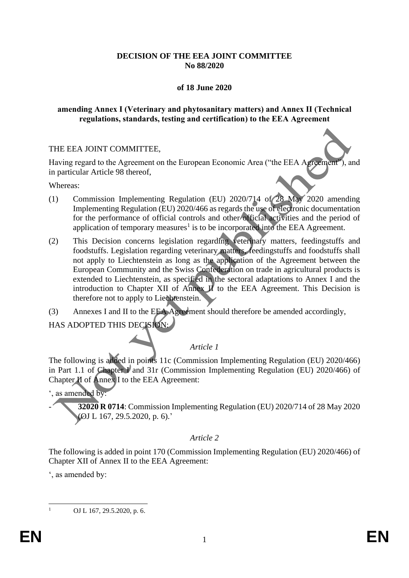# **DECISION OF THE EEA JOINT COMMITTEE No 88/2020**

# **of 18 June 2020**

# **amending Annex I (Veterinary and phytosanitary matters) and Annex II (Technical regulations, standards, testing and certification) to the EEA Agreement**

# THE EEA JOINT COMMITTEE,

Having regard to the Agreement on the European Economic Area ("the EEA Agreement"), and in particular Article 98 thereof,

Whereas:

- (1) Commission Implementing Regulation (EU) 2020/714 of 28 May 2020 amending Implementing Regulation (EU) 2020/466 as regards the use of electronic documentation for the performance of official controls and other official activities and the period of application of temporary measures<sup>1</sup> is to be incorporated into the EEA Agreement.
- (2) This Decision concerns legislation regarding veterinary matters, feedingstuffs and foodstuffs. Legislation regarding veterinary matters, feedingstuffs and foodstuffs shall not apply to Liechtenstein as long as the application of the Agreement between the European Community and the Swiss Confederation on trade in agricultural products is extended to Liechtenstein, as specified in the sectoral adaptations to Annex I and the introduction to Chapter XII of Annex  $\vec{H}$  to the EEA Agreement. This Decision is therefore not to apply to Liechtenstein.
- (3) Annexes I and II to the EEA Agreement should therefore be amended accordingly,

HAS ADOPTED THIS DECISION:

# *Article 1*

The following is added in points 11c (Commission Implementing Regulation (EU) 2020/466) in Part 1.1 of Chapter I and 31r (Commission Implementing Regulation (EU) 2020/466) of Chapter **II** of **Annex** I to the EEA Agreement:

', as amended by:

- **32020 R 0714**: Commission Implementing Regulation (EU) 2020/714 of 28 May 2020 (OJ L 167, 29.5.2020, p. 6).'

# *Article 2*

The following is added in point 170 (Commission Implementing Regulation (EU) 2020/466) of Chapter XII of Annex II to the EEA Agreement:

', as amended by:

OJ L 167, 29.5.2020, p. 6.